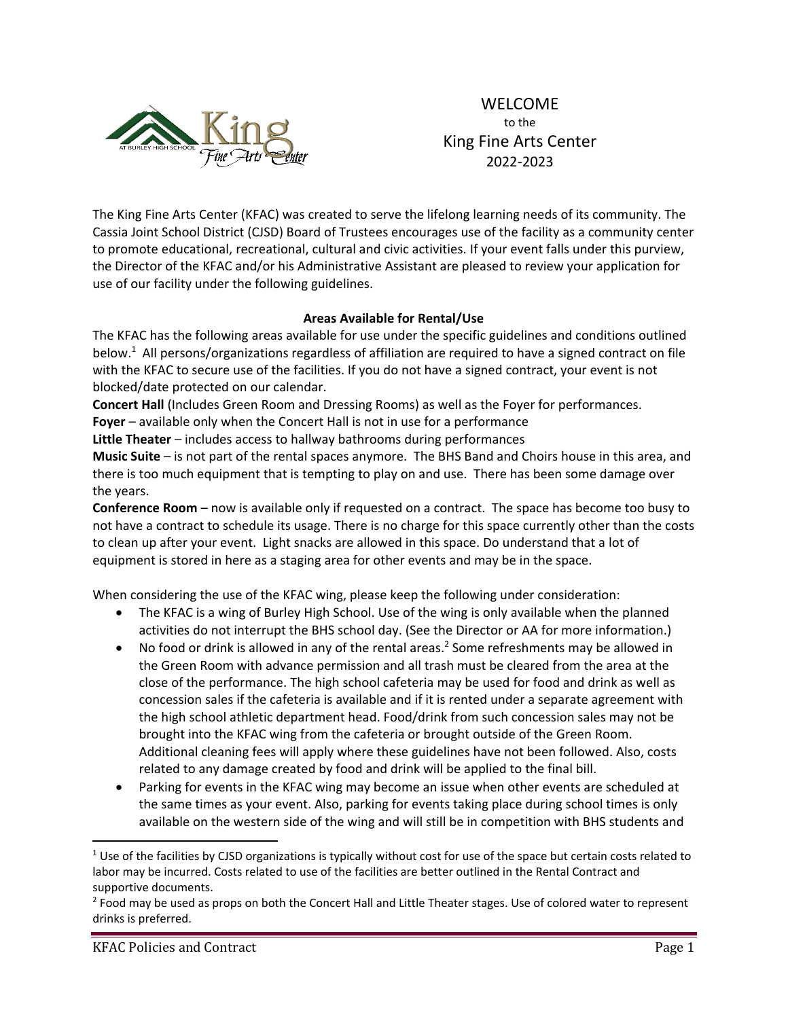

WELCOME to the King Fine Arts Center 2022‐2023

The King Fine Arts Center (KFAC) was created to serve the lifelong learning needs of its community. The Cassia Joint School District (CJSD) Board of Trustees encourages use of the facility as a community center to promote educational, recreational, cultural and civic activities. If your event falls under this purview, the Director of the KFAC and/or his Administrative Assistant are pleased to review your application for use of our facility under the following guidelines.

# **Areas Available for Rental/Use**

The KFAC has the following areas available for use under the specific guidelines and conditions outlined below.<sup>1</sup> All persons/organizations regardless of affiliation are required to have a signed contract on file with the KFAC to secure use of the facilities. If you do not have a signed contract, your event is not blocked/date protected on our calendar.

**Concert Hall** (Includes Green Room and Dressing Rooms) as well as the Foyer for performances.

**Foyer** – available only when the Concert Hall is not in use for a performance

**Little Theater** – includes access to hallway bathrooms during performances

**Music Suite** – is not part of the rental spaces anymore. The BHS Band and Choirs house in this area, and there is too much equipment that is tempting to play on and use. There has been some damage over the years.

**Conference Room** – now is available only if requested on a contract. The space has become too busy to not have a contract to schedule its usage. There is no charge for this space currently other than the costs to clean up after your event. Light snacks are allowed in this space. Do understand that a lot of equipment is stored in here as a staging area for other events and may be in the space.

When considering the use of the KFAC wing, please keep the following under consideration:

- The KFAC is a wing of Burley High School. Use of the wing is only available when the planned activities do not interrupt the BHS school day. (See the Director or AA for more information.)
- No food or drink is allowed in any of the rental areas.<sup>2</sup> Some refreshments may be allowed in the Green Room with advance permission and all trash must be cleared from the area at the close of the performance. The high school cafeteria may be used for food and drink as well as concession sales if the cafeteria is available and if it is rented under a separate agreement with the high school athletic department head. Food/drink from such concession sales may not be brought into the KFAC wing from the cafeteria or brought outside of the Green Room. Additional cleaning fees will apply where these guidelines have not been followed. Also, costs related to any damage created by food and drink will be applied to the final bill.
- Parking for events in the KFAC wing may become an issue when other events are scheduled at the same times as your event. Also, parking for events taking place during school times is only available on the western side of the wing and will still be in competition with BHS students and

 $1$  Use of the facilities by CJSD organizations is typically without cost for use of the space but certain costs related to labor may be incurred. Costs related to use of the facilities are better outlined in the Rental Contract and supportive documents.

<sup>&</sup>lt;sup>2</sup> Food may be used as props on both the Concert Hall and Little Theater stages. Use of colored water to represent drinks is preferred.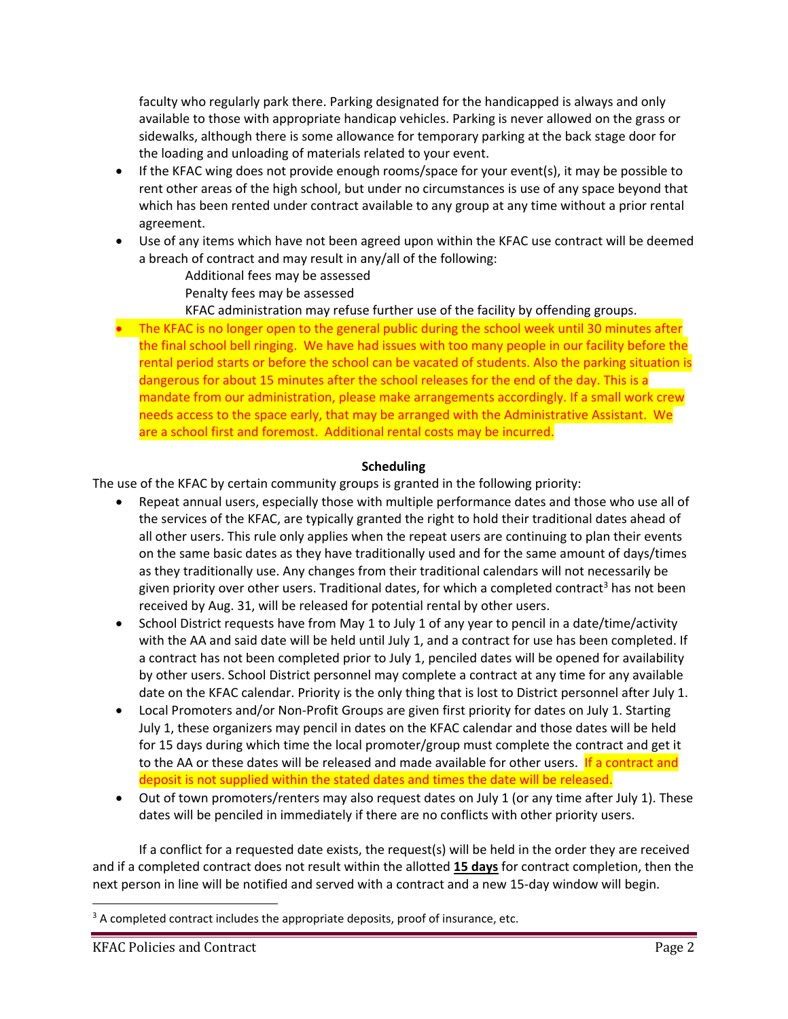faculty who regularly park there. Parking designated for the handicapped is always and only available to those with appropriate handicap vehicles. Parking is never allowed on the grass or sidewalks, although there is some allowance for temporary parking at the back stage door for the loading and unloading of materials related to your event.

- If the KFAC wing does not provide enough rooms/space for your event(s), it may be possible to rent other areas of the high school, but under no circumstances is use of any space beyond that which has been rented under contract available to any group at any time without a prior rental agreement.
- Use of any items which have not been agreed upon within the KFAC use contract will be deemed a breach of contract and may result in any/all of the following:
	- Additional fees may be assessed
	- Penalty fees may be assessed
	- KFAC administration may refuse further use of the facility by offending groups.
- The KFAC is no longer open to the general public during the school week until 30 minutes after the final school bell ringing. We have had issues with too many people in our facility before the rental period starts or before the school can be vacated of students. Also the parking situation is dangerous for about 15 minutes after the school releases for the end of the day. This is a mandate from our administration, please make arrangements accordingly. If a small work crew needs access to the space early, that may be arranged with the Administrative Assistant. We are a school first and foremost. Additional rental costs may be incurred.

# **Scheduling**

The use of the KFAC by certain community groups is granted in the following priority:

- Repeat annual users, especially those with multiple performance dates and those who use all of the services of the KFAC, are typically granted the right to hold their traditional dates ahead of all other users. This rule only applies when the repeat users are continuing to plan their events on the same basic dates as they have traditionally used and for the same amount of days/times as they traditionally use. Any changes from their traditional calendars will not necessarily be given priority over other users. Traditional dates, for which a completed contract<sup>3</sup> has not been received by Aug. 31, will be released for potential rental by other users.
- School District requests have from May 1 to July 1 of any year to pencil in a date/time/activity with the AA and said date will be held until July 1, and a contract for use has been completed. If a contract has not been completed prior to July 1, penciled dates will be opened for availability by other users. School District personnel may complete a contract at any time for any available date on the KFAC calendar. Priority is the only thing that is lost to District personnel after July 1.
- Local Promoters and/or Non-Profit Groups are given first priority for dates on July 1. Starting July 1, these organizers may pencil in dates on the KFAC calendar and those dates will be held for 15 days during which time the local promoter/group must complete the contract and get it to the AA or these dates will be released and made available for other users. If a contract and deposit is not supplied within the stated dates and times the date will be released.
- Out of town promoters/renters may also request dates on July 1 (or any time after July 1). These dates will be penciled in immediately if there are no conflicts with other priority users.

If a conflict for a requested date exists, the request(s) will be held in the order they are received and if a completed contract does not result within the allotted **15 days** for contract completion, then the next person in line will be notified and served with a contract and a new 15‐day window will begin.

<sup>&</sup>lt;sup>3</sup> A completed contract includes the appropriate deposits, proof of insurance, etc.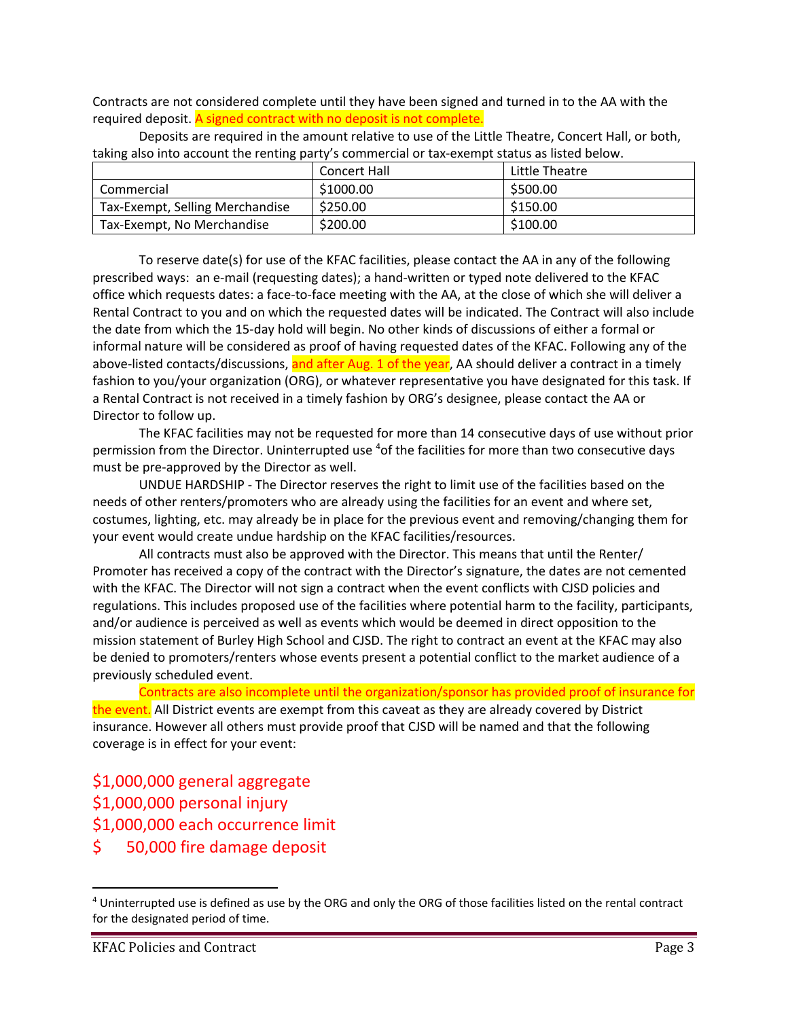Contracts are not considered complete until they have been signed and turned in to the AA with the required deposit. A signed contract with no deposit is not complete.

|                                 | Concert Hall | Little Theatre |
|---------------------------------|--------------|----------------|
| Commercial                      | \$1000.00    | \$500.00       |
| Tax-Exempt, Selling Merchandise | \$250.00     | \$150.00       |
| Tax-Exempt, No Merchandise      | \$200.00     | \$100.00       |

Deposits are required in the amount relative to use of the Little Theatre, Concert Hall, or both, taking also into account the renting party's commercial or tax‐exempt status as listed below.

To reserve date(s) for use of the KFAC facilities, please contact the AA in any of the following prescribed ways: an e‐mail (requesting dates); a hand‐written or typed note delivered to the KFAC office which requests dates: a face‐to‐face meeting with the AA, at the close of which she will deliver a Rental Contract to you and on which the requested dates will be indicated. The Contract will also include the date from which the 15‐day hold will begin. No other kinds of discussions of either a formal or informal nature will be considered as proof of having requested dates of the KFAC. Following any of the above-listed contacts/discussions, and after Aug. 1 of the year, AA should deliver a contract in a timely fashion to you/your organization (ORG), or whatever representative you have designated for this task. If a Rental Contract is not received in a timely fashion by ORG's designee, please contact the AA or Director to follow up.

The KFAC facilities may not be requested for more than 14 consecutive days of use without prior permission from the Director. Uninterrupted use <sup>4</sup>of the facilities for more than two consecutive days must be pre‐approved by the Director as well.

UNDUE HARDSHIP ‐ The Director reserves the right to limit use of the facilities based on the needs of other renters/promoters who are already using the facilities for an event and where set, costumes, lighting, etc. may already be in place for the previous event and removing/changing them for your event would create undue hardship on the KFAC facilities/resources.

All contracts must also be approved with the Director. This means that until the Renter/ Promoter has received a copy of the contract with the Director's signature, the dates are not cemented with the KFAC. The Director will not sign a contract when the event conflicts with CJSD policies and regulations. This includes proposed use of the facilities where potential harm to the facility, participants, and/or audience is perceived as well as events which would be deemed in direct opposition to the mission statement of Burley High School and CJSD. The right to contract an event at the KFAC may also be denied to promoters/renters whose events present a potential conflict to the market audience of a previously scheduled event.

Contracts are also incomplete until the organization/sponsor has provided proof of insurance for the event. All District events are exempt from this caveat as they are already covered by District insurance. However all others must provide proof that CJSD will be named and that the following coverage is in effect for your event:

\$1,000,000 general aggregate

\$1,000,000 personal injury

- \$1,000,000 each occurrence limit
- \$ 50,000 fire damage deposit

<sup>4</sup> Uninterrupted use is defined as use by the ORG and only the ORG of those facilities listed on the rental contract for the designated period of time.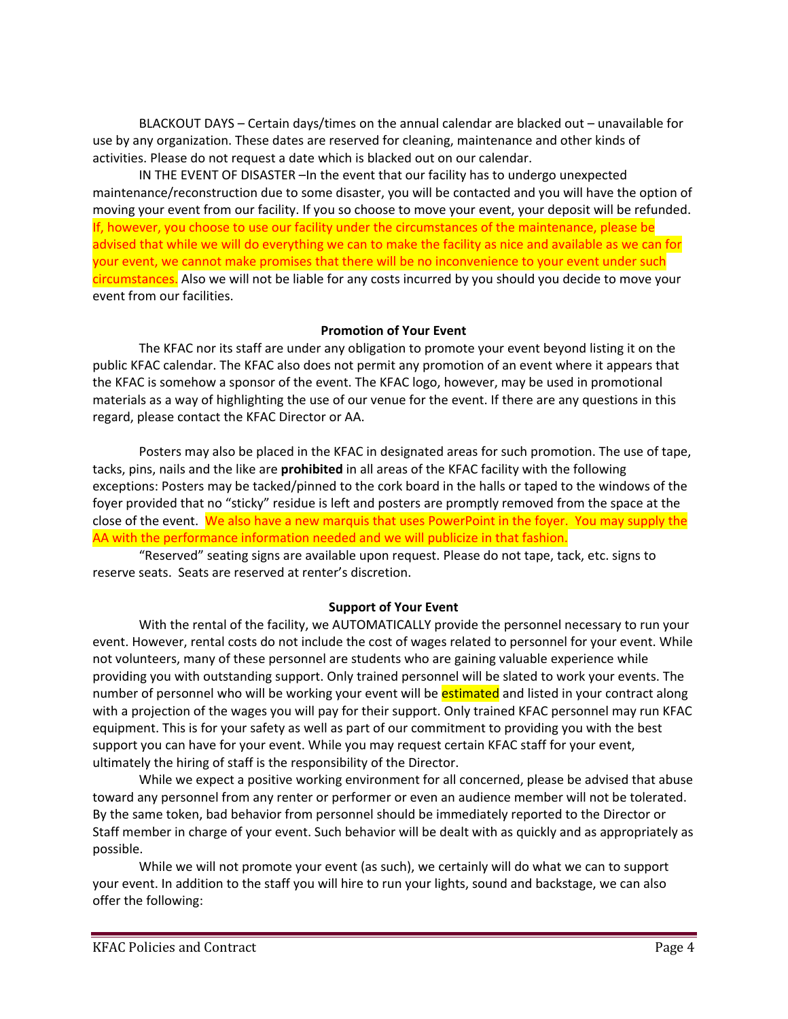BLACKOUT DAYS – Certain days/times on the annual calendar are blacked out – unavailable for use by any organization. These dates are reserved for cleaning, maintenance and other kinds of activities. Please do not request a date which is blacked out on our calendar.

IN THE EVENT OF DISASTER –In the event that our facility has to undergo unexpected maintenance/reconstruction due to some disaster, you will be contacted and you will have the option of moving your event from our facility. If you so choose to move your event, your deposit will be refunded. If, however, you choose to use our facility under the circumstances of the maintenance, please be advised that while we will do everything we can to make the facility as nice and available as we can for your event, we cannot make promises that there will be no inconvenience to your event under such circumstances. Also we will not be liable for any costs incurred by you should you decide to move your event from our facilities.

### **Promotion of Your Event**

The KFAC nor its staff are under any obligation to promote your event beyond listing it on the public KFAC calendar. The KFAC also does not permit any promotion of an event where it appears that the KFAC is somehow a sponsor of the event. The KFAC logo, however, may be used in promotional materials as a way of highlighting the use of our venue for the event. If there are any questions in this regard, please contact the KFAC Director or AA.

Posters may also be placed in the KFAC in designated areas for such promotion. The use of tape, tacks, pins, nails and the like are **prohibited** in all areas of the KFAC facility with the following exceptions: Posters may be tacked/pinned to the cork board in the halls or taped to the windows of the foyer provided that no "sticky" residue is left and posters are promptly removed from the space at the close of the event. We also have a new marquis that uses PowerPoint in the foyer. You may supply the AA with the performance information needed and we will publicize in that fashion.

"Reserved" seating signs are available upon request. Please do not tape, tack, etc. signs to reserve seats. Seats are reserved at renter's discretion.

#### **Support of Your Event**

With the rental of the facility, we AUTOMATICALLY provide the personnel necessary to run your event. However, rental costs do not include the cost of wages related to personnel for your event. While not volunteers, many of these personnel are students who are gaining valuable experience while providing you with outstanding support. Only trained personnel will be slated to work your events. The number of personnel who will be working your event will be **estimated** and listed in your contract along with a projection of the wages you will pay for their support. Only trained KFAC personnel may run KFAC equipment. This is for your safety as well as part of our commitment to providing you with the best support you can have for your event. While you may request certain KFAC staff for your event, ultimately the hiring of staff is the responsibility of the Director.

While we expect a positive working environment for all concerned, please be advised that abuse toward any personnel from any renter or performer or even an audience member will not be tolerated. By the same token, bad behavior from personnel should be immediately reported to the Director or Staff member in charge of your event. Such behavior will be dealt with as quickly and as appropriately as possible.

While we will not promote your event (as such), we certainly will do what we can to support your event. In addition to the staff you will hire to run your lights, sound and backstage, we can also offer the following: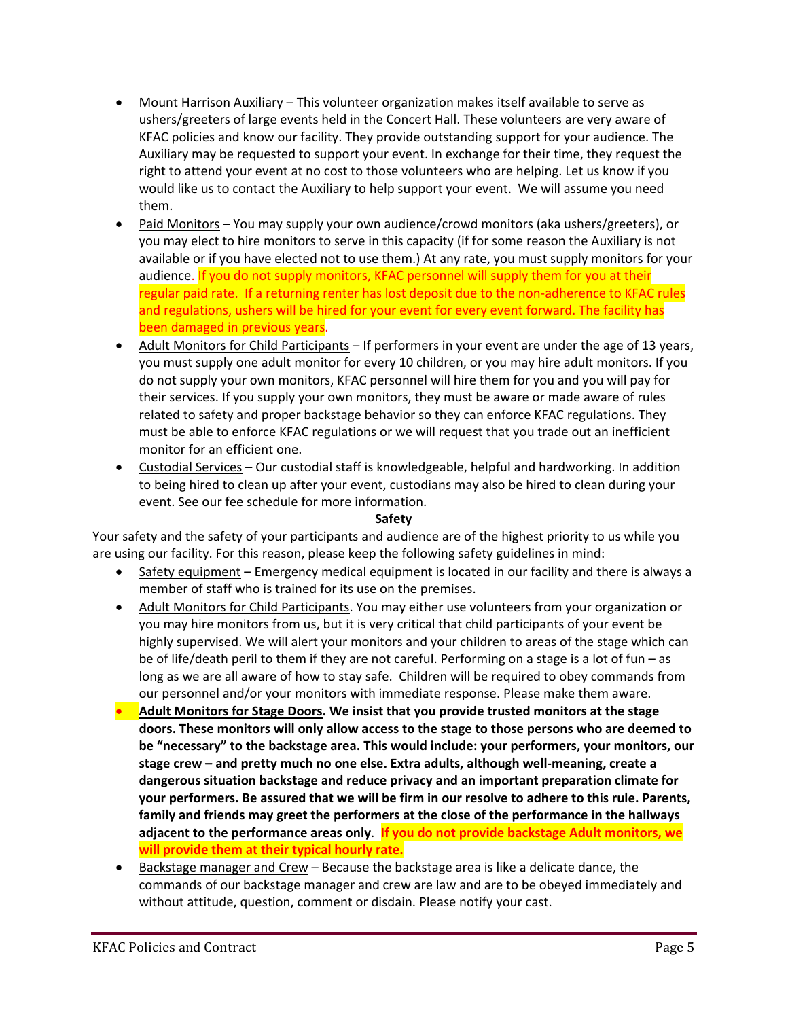- Mount Harrison Auxiliary This volunteer organization makes itself available to serve as ushers/greeters of large events held in the Concert Hall. These volunteers are very aware of KFAC policies and know our facility. They provide outstanding support for your audience. The Auxiliary may be requested to support your event. In exchange for their time, they request the right to attend your event at no cost to those volunteers who are helping. Let us know if you would like us to contact the Auxiliary to help support your event. We will assume you need them.
- Paid Monitors You may supply your own audience/crowd monitors (aka ushers/greeters), or you may elect to hire monitors to serve in this capacity (if for some reason the Auxiliary is not available or if you have elected not to use them.) At any rate, you must supply monitors for your audience. If you do not supply monitors, KFAC personnel will supply them for you at their regular paid rate. If a returning renter has lost deposit due to the non-adherence to KFAC rules and regulations, ushers will be hired for your event for every event forward. The facility has been damaged in previous years.
- Adult Monitors for Child Participants If performers in your event are under the age of 13 years, you must supply one adult monitor for every 10 children, or you may hire adult monitors. If you do not supply your own monitors, KFAC personnel will hire them for you and you will pay for their services. If you supply your own monitors, they must be aware or made aware of rules related to safety and proper backstage behavior so they can enforce KFAC regulations. They must be able to enforce KFAC regulations or we will request that you trade out an inefficient monitor for an efficient one.
- Custodial Services Our custodial staff is knowledgeable, helpful and hardworking. In addition to being hired to clean up after your event, custodians may also be hired to clean during your event. See our fee schedule for more information.

### **Safety**

Your safety and the safety of your participants and audience are of the highest priority to us while you are using our facility. For this reason, please keep the following safety guidelines in mind:

- Safety equipment Emergency medical equipment is located in our facility and there is always a member of staff who is trained for its use on the premises.
- Adult Monitors for Child Participants. You may either use volunteers from your organization or you may hire monitors from us, but it is very critical that child participants of your event be highly supervised. We will alert your monitors and your children to areas of the stage which can be of life/death peril to them if they are not careful. Performing on a stage is a lot of fun – as long as we are all aware of how to stay safe. Children will be required to obey commands from our personnel and/or your monitors with immediate response. Please make them aware.
- **Adult Monitors for Stage Doors. We insist that you provide trusted monitors at the stage doors. These monitors will only allow access to the stage to those persons who are deemed to be "necessary" to the backstage area. This would include: your performers, your monitors, our stage crew – and pretty much no one else. Extra adults, although well‐meaning, create a dangerous situation backstage and reduce privacy and an important preparation climate for your performers. Be assured that we will be firm in our resolve to adhere to this rule. Parents, family and friends may greet the performers at the close of the performance in the hallways adjacent to the performance areas only**. **If you do not provide backstage Adult monitors, we will provide them at their typical hourly rate.**
- Backstage manager and Crew Because the backstage area is like a delicate dance, the commands of our backstage manager and crew are law and are to be obeyed immediately and without attitude, question, comment or disdain. Please notify your cast.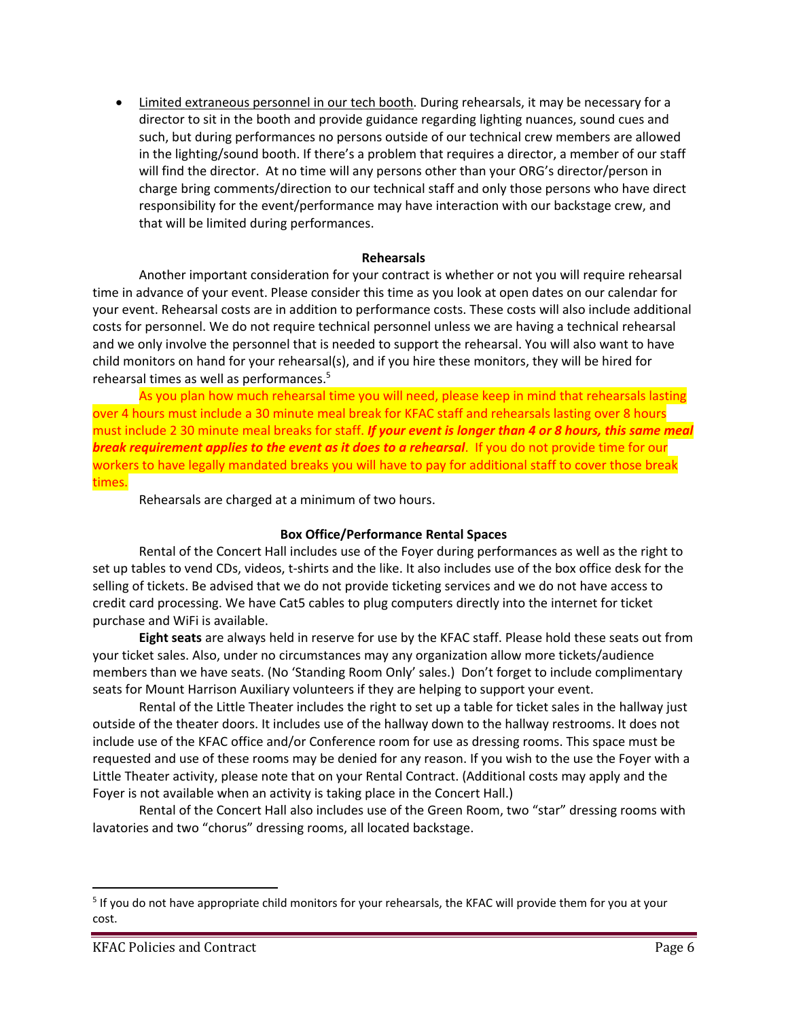Limited extraneous personnel in our tech booth. During rehearsals, it may be necessary for a director to sit in the booth and provide guidance regarding lighting nuances, sound cues and such, but during performances no persons outside of our technical crew members are allowed in the lighting/sound booth. If there's a problem that requires a director, a member of our staff will find the director. At no time will any persons other than your ORG's director/person in charge bring comments/direction to our technical staff and only those persons who have direct responsibility for the event/performance may have interaction with our backstage crew, and that will be limited during performances.

### **Rehearsals**

Another important consideration for your contract is whether or not you will require rehearsal time in advance of your event. Please consider this time as you look at open dates on our calendar for your event. Rehearsal costs are in addition to performance costs. These costs will also include additional costs for personnel. We do not require technical personnel unless we are having a technical rehearsal and we only involve the personnel that is needed to support the rehearsal. You will also want to have child monitors on hand for your rehearsal(s), and if you hire these monitors, they will be hired for rehearsal times as well as performances.5

As you plan how much rehearsal time you will need, please keep in mind that rehearsals lasting over 4 hours must include a 30 minute meal break for KFAC staff and rehearsals lasting over 8 hours must include 2 30 minute meal breaks for staff. *If your event is longer than 4 or 8 hours, this same meal break requirement applies to the event as it does to a rehearsal*. If you do not provide time for our workers to have legally mandated breaks you will have to pay for additional staff to cover those break times.

Rehearsals are charged at a minimum of two hours.

### **Box Office/Performance Rental Spaces**

Rental of the Concert Hall includes use of the Foyer during performances as well as the right to set up tables to vend CDs, videos, t‐shirts and the like. It also includes use of the box office desk for the selling of tickets. Be advised that we do not provide ticketing services and we do not have access to credit card processing. We have Cat5 cables to plug computers directly into the internet for ticket purchase and WiFi is available.

**Eight seats** are always held in reserve for use by the KFAC staff. Please hold these seats out from your ticket sales. Also, under no circumstances may any organization allow more tickets/audience members than we have seats. (No 'Standing Room Only' sales.) Don't forget to include complimentary seats for Mount Harrison Auxiliary volunteers if they are helping to support your event.

Rental of the Little Theater includes the right to set up a table for ticket sales in the hallway just outside of the theater doors. It includes use of the hallway down to the hallway restrooms. It does not include use of the KFAC office and/or Conference room for use as dressing rooms. This space must be requested and use of these rooms may be denied for any reason. If you wish to the use the Foyer with a Little Theater activity, please note that on your Rental Contract. (Additional costs may apply and the Foyer is not available when an activity is taking place in the Concert Hall.)

Rental of the Concert Hall also includes use of the Green Room, two "star" dressing rooms with lavatories and two "chorus" dressing rooms, all located backstage.

<sup>5</sup> If you do not have appropriate child monitors for your rehearsals, the KFAC will provide them for you at your cost.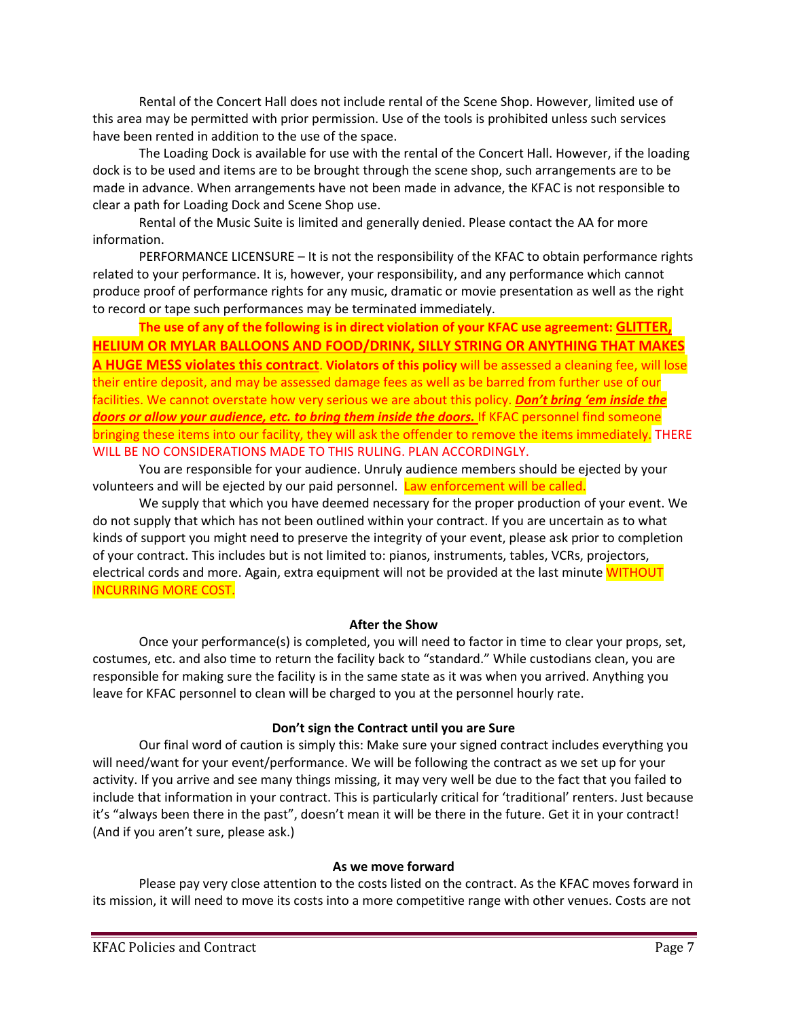Rental of the Concert Hall does not include rental of the Scene Shop. However, limited use of this area may be permitted with prior permission. Use of the tools is prohibited unless such services have been rented in addition to the use of the space.

The Loading Dock is available for use with the rental of the Concert Hall. However, if the loading dock is to be used and items are to be brought through the scene shop, such arrangements are to be made in advance. When arrangements have not been made in advance, the KFAC is not responsible to clear a path for Loading Dock and Scene Shop use.

Rental of the Music Suite is limited and generally denied. Please contact the AA for more information.

PERFORMANCE LICENSURE – It is not the responsibility of the KFAC to obtain performance rights related to your performance. It is, however, your responsibility, and any performance which cannot produce proof of performance rights for any music, dramatic or movie presentation as well as the right to record or tape such performances may be terminated immediately.

**The use of any of the following is in direct violation of your KFAC use agreement: GLITTER, HELIUM OR MYLAR BALLOONS AND FOOD/DRINK, SILLY STRING OR ANYTHING THAT MAKES A HUGE MESS violates this contract**. **Violators of this policy** will be assessed a cleaning fee, will lose their entire deposit, and may be assessed damage fees as well as be barred from further use of our facilities. We cannot overstate how very serious we are about this policy. *Don't bring 'em inside the doors or allow your audience, etc. to bring them inside the doors.* If KFAC personnel find someone bringing these items into our facility, they will ask the offender to remove the items immediately. THERE WILL BE NO CONSIDERATIONS MADE TO THIS RULING. PLAN ACCORDINGLY.

You are responsible for your audience. Unruly audience members should be ejected by your volunteers and will be ejected by our paid personnel. Law enforcement will be called.

We supply that which you have deemed necessary for the proper production of your event. We do not supply that which has not been outlined within your contract. If you are uncertain as to what kinds of support you might need to preserve the integrity of your event, please ask prior to completion of your contract. This includes but is not limited to: pianos, instruments, tables, VCRs, projectors, electrical cords and more. Again, extra equipment will not be provided at the last minute WITHOUT INCURRING MORE COST.

### **After the Show**

Once your performance(s) is completed, you will need to factor in time to clear your props, set, costumes, etc. and also time to return the facility back to "standard." While custodians clean, you are responsible for making sure the facility is in the same state as it was when you arrived. Anything you leave for KFAC personnel to clean will be charged to you at the personnel hourly rate.

#### **Don't sign the Contract until you are Sure**

Our final word of caution is simply this: Make sure your signed contract includes everything you will need/want for your event/performance. We will be following the contract as we set up for your activity. If you arrive and see many things missing, it may very well be due to the fact that you failed to include that information in your contract. This is particularly critical for 'traditional' renters. Just because it's "always been there in the past", doesn't mean it will be there in the future. Get it in your contract! (And if you aren't sure, please ask.)

#### **As we move forward**

Please pay very close attention to the costs listed on the contract. As the KFAC moves forward in its mission, it will need to move its costs into a more competitive range with other venues. Costs are not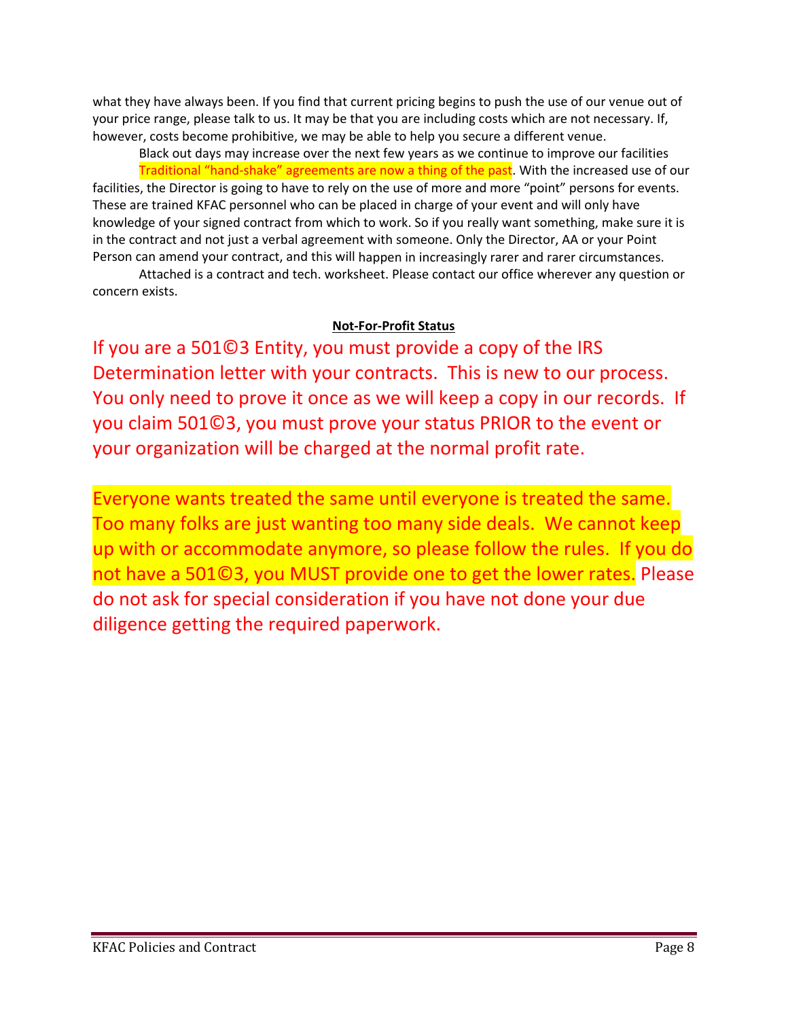what they have always been. If you find that current pricing begins to push the use of our venue out of your price range, please talk to us. It may be that you are including costs which are not necessary. If, however, costs become prohibitive, we may be able to help you secure a different venue.

Black out days may increase over the next few years as we continue to improve our facilities Traditional "hand-shake" agreements are now a thing of the past. With the increased use of our facilities, the Director is going to have to rely on the use of more and more "point" persons for events. These are trained KFAC personnel who can be placed in charge of your event and will only have knowledge of your signed contract from which to work. So if you really want something, make sure it is in the contract and not just a verbal agreement with someone. Only the Director, AA or your Point Person can amend your contract, and this will happen in increasingly rarer and rarer circumstances.

Attached is a contract and tech. worksheet. Please contact our office wherever any question or concern exists.

# **Not‐For‐Profit Status**

If you are a 501©3 Entity, you must provide a copy of the IRS Determination letter with your contracts. This is new to our process. You only need to prove it once as we will keep a copy in our records. If you claim 501©3, you must prove your status PRIOR to the event or your organization will be charged at the normal profit rate.

Everyone wants treated the same until everyone is treated the same. Too many folks are just wanting too many side deals. We cannot keep up with or accommodate anymore, so please follow the rules. If you do not have a 501©3, you MUST provide one to get the lower rates. Please do not ask for special consideration if you have not done your due diligence getting the required paperwork.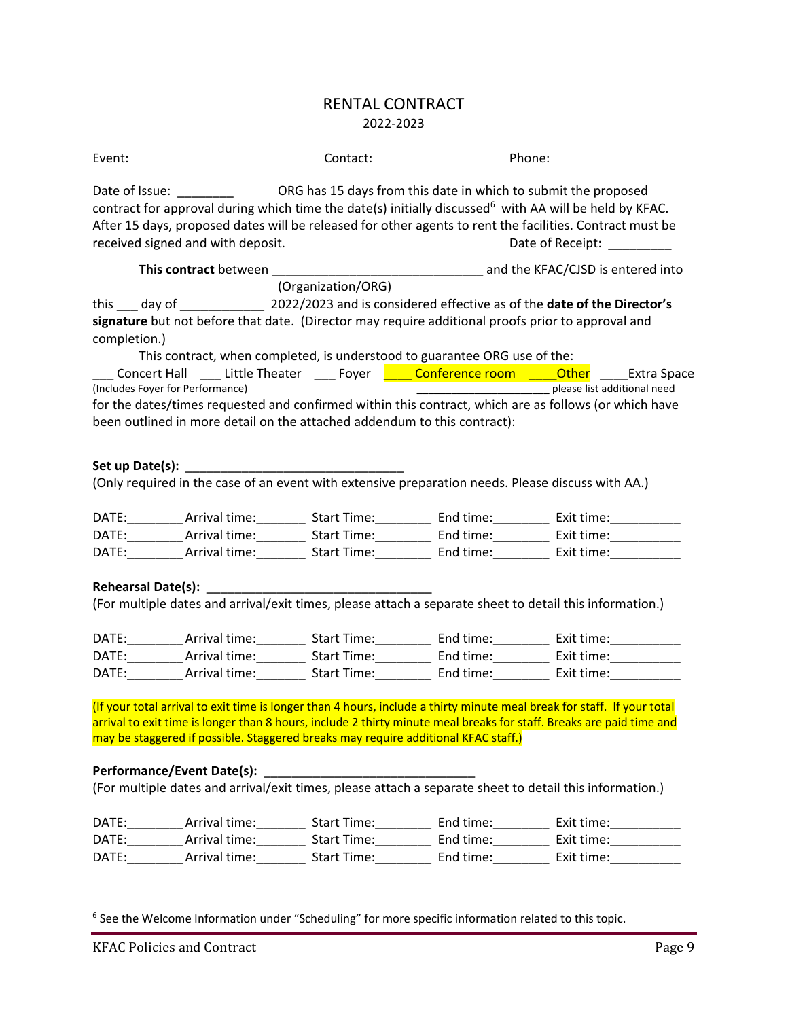# RENTAL CONTRACT 2022‐2023

| Event:          |                                                                                                                                                                                                                                                                     | Contact:           | Phone:                       |  |  |
|-----------------|---------------------------------------------------------------------------------------------------------------------------------------------------------------------------------------------------------------------------------------------------------------------|--------------------|------------------------------|--|--|
|                 | contract for approval during which time the date(s) initially discussed <sup>6</sup> with AA will be held by KFAC.<br>After 15 days, proposed dates will be released for other agents to rent the facilities. Contract must be<br>received signed and with deposit. |                    | Date of Receipt: ___________ |  |  |
|                 |                                                                                                                                                                                                                                                                     |                    |                              |  |  |
|                 |                                                                                                                                                                                                                                                                     | (Organization/ORG) |                              |  |  |
|                 |                                                                                                                                                                                                                                                                     |                    |                              |  |  |
| completion.)    | signature but not before that date. (Director may require additional proofs prior to approval and                                                                                                                                                                   |                    |                              |  |  |
|                 | This contract, when completed, is understood to guarantee ORG use of the:                                                                                                                                                                                           |                    |                              |  |  |
|                 | Concert Hall ____ Little Theater ____ Foyer <b>_____ Conference room _____Other</b> _____Extra Space                                                                                                                                                                |                    |                              |  |  |
|                 | (Includes Foyer for Performance)                                                                                                                                                                                                                                    |                    | please list additional need  |  |  |
|                 | for the dates/times requested and confirmed within this contract, which are as follows (or which have                                                                                                                                                               |                    |                              |  |  |
|                 | been outlined in more detail on the attached addendum to this contract):                                                                                                                                                                                            |                    |                              |  |  |
|                 |                                                                                                                                                                                                                                                                     |                    |                              |  |  |
| Set up Date(s): |                                                                                                                                                                                                                                                                     |                    |                              |  |  |
|                 | (Only required in the case of an event with extensive preparation needs. Please discuss with AA.)                                                                                                                                                                   |                    |                              |  |  |
|                 |                                                                                                                                                                                                                                                                     |                    |                              |  |  |
|                 | DATE: ___________Arrival time: ____________Start Time: __________________End time: ___________________________                                                                                                                                                      |                    |                              |  |  |
|                 | DATE: ___________Arrival time: ____________Start Time: _________________End time: ____________________________                                                                                                                                                      |                    |                              |  |  |
|                 |                                                                                                                                                                                                                                                                     |                    |                              |  |  |
|                 |                                                                                                                                                                                                                                                                     |                    |                              |  |  |
|                 | Rehearsal Date(s): National Assembly and Assembly and Assembly and Assembly and Assembly and Assembly and Assembly and Assembly and Assembly and Assembly and Assembly and Assembly and Assembly and Assembly and Assembly and                                      |                    |                              |  |  |
|                 | (For multiple dates and arrival/exit times, please attach a separate sheet to detail this information.)                                                                                                                                                             |                    |                              |  |  |
|                 |                                                                                                                                                                                                                                                                     |                    |                              |  |  |
|                 | DATE: Arrival time: Start Time: End time: Exit time:                                                                                                                                                                                                                |                    |                              |  |  |
|                 | DATE: Arrival time: Start Time: End time: Exit time:                                                                                                                                                                                                                |                    |                              |  |  |
|                 |                                                                                                                                                                                                                                                                     |                    |                              |  |  |
|                 |                                                                                                                                                                                                                                                                     |                    |                              |  |  |
|                 | (If your total arrival to exit time is longer than 4 hours, include a thirty minute meal break for staff. If your total                                                                                                                                             |                    |                              |  |  |
|                 | arrival to exit time is longer than 8 hours, include 2 thirty minute meal breaks for staff. Breaks are paid time and                                                                                                                                                |                    |                              |  |  |
|                 | may be staggered if possible. Staggered breaks may require additional KFAC staff.)                                                                                                                                                                                  |                    |                              |  |  |
|                 |                                                                                                                                                                                                                                                                     |                    |                              |  |  |
|                 | <b>Performance/Event Date(s):</b>                                                                                                                                                                                                                                   |                    |                              |  |  |
|                 | (For multiple dates and arrival/exit times, please attach a separate sheet to detail this information.)                                                                                                                                                             |                    |                              |  |  |
|                 |                                                                                                                                                                                                                                                                     |                    |                              |  |  |
|                 |                                                                                                                                                                                                                                                                     |                    |                              |  |  |
|                 |                                                                                                                                                                                                                                                                     |                    |                              |  |  |
|                 | DATE: _____________Arrival time: _______________Start Time: _________________Exit time: ____________                                                                                                                                                                |                    |                              |  |  |
|                 |                                                                                                                                                                                                                                                                     |                    |                              |  |  |
|                 |                                                                                                                                                                                                                                                                     |                    |                              |  |  |
|                 |                                                                                                                                                                                                                                                                     |                    |                              |  |  |
|                 | <sup>6</sup> See the Welcome Information under "Scheduling" for more specific information related to this topic.                                                                                                                                                    |                    |                              |  |  |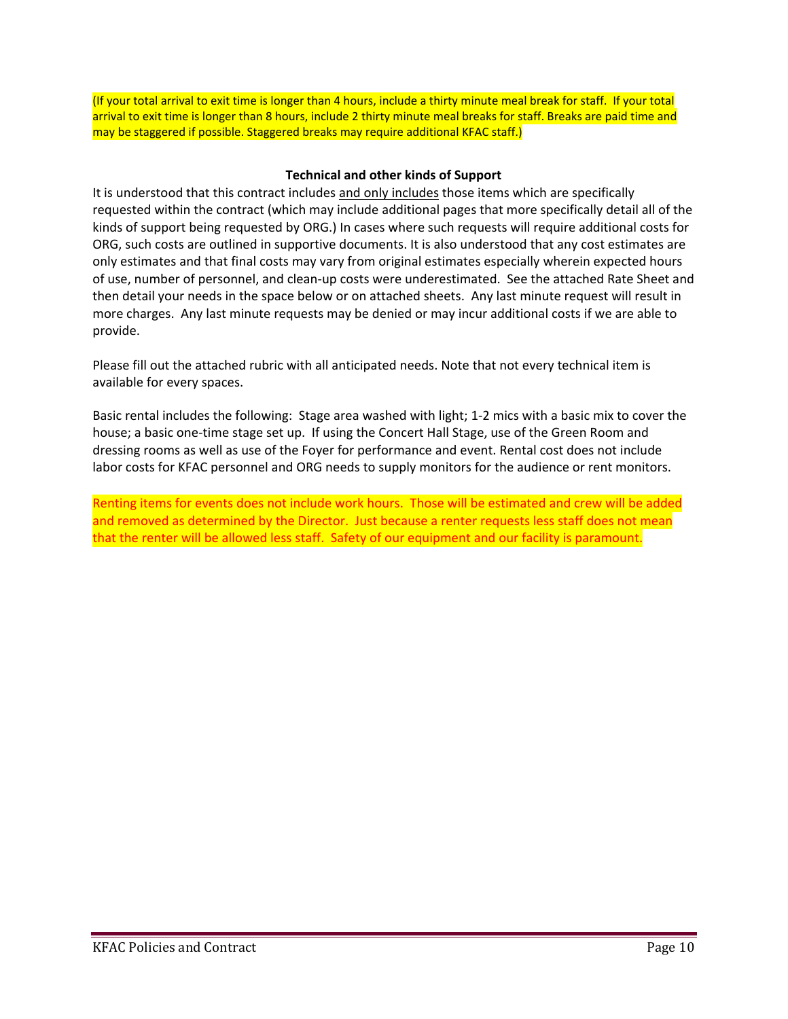(If your total arrival to exit time is longer than 4 hours, include a thirty minute meal break for staff. If your total arrival to exit time is longer than 8 hours, include 2 thirty minute meal breaks for staff. Breaks are paid time and may be staggered if possible. Staggered breaks may require additional KFAC staff.)

# **Technical and other kinds of Support**

It is understood that this contract includes and only includes those items which are specifically requested within the contract (which may include additional pages that more specifically detail all of the kinds of support being requested by ORG.) In cases where such requests will require additional costs for ORG, such costs are outlined in supportive documents. It is also understood that any cost estimates are only estimates and that final costs may vary from original estimates especially wherein expected hours of use, number of personnel, and clean‐up costs were underestimated. See the attached Rate Sheet and then detail your needs in the space below or on attached sheets. Any last minute request will result in more charges. Any last minute requests may be denied or may incur additional costs if we are able to provide.

Please fill out the attached rubric with all anticipated needs. Note that not every technical item is available for every spaces.

Basic rental includes the following: Stage area washed with light; 1‐2 mics with a basic mix to cover the house; a basic one-time stage set up. If using the Concert Hall Stage, use of the Green Room and dressing rooms as well as use of the Foyer for performance and event. Rental cost does not include labor costs for KFAC personnel and ORG needs to supply monitors for the audience or rent monitors.

Renting items for events does not include work hours. Those will be estimated and crew will be added and removed as determined by the Director. Just because a renter requests less staff does not mean that the renter will be allowed less staff. Safety of our equipment and our facility is paramount.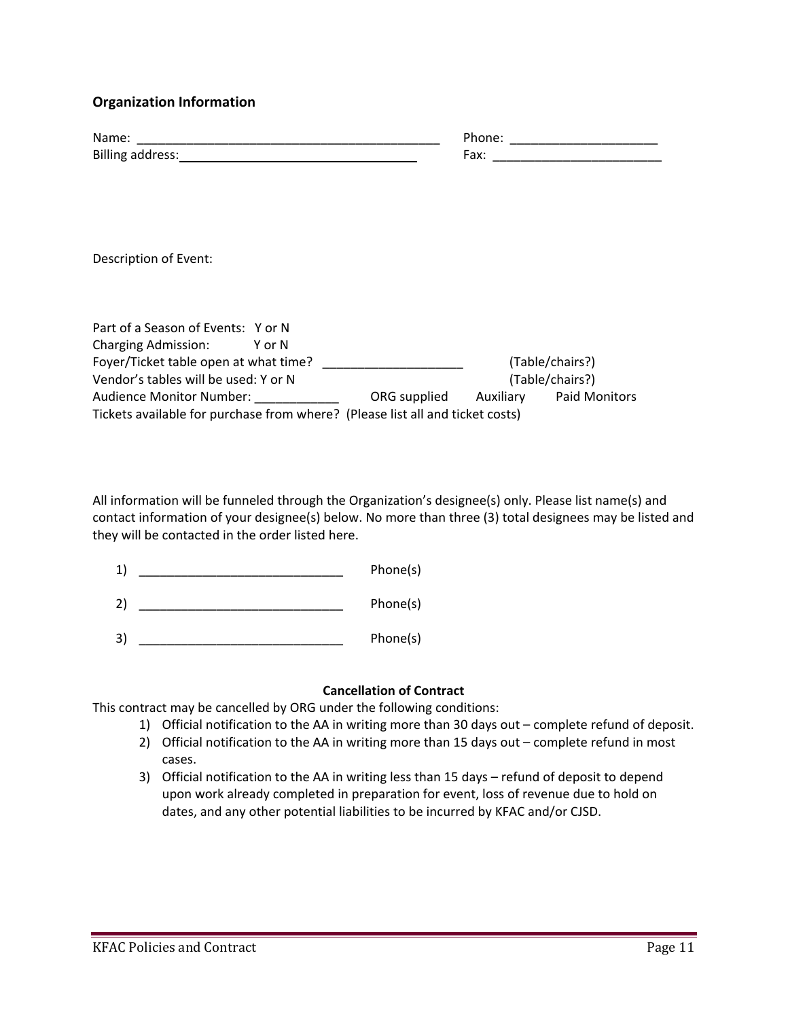# **Organization Information**

| Name:                   | Phone. |
|-------------------------|--------|
| <b>Billing address:</b> | Fax:   |

Description of Event:

| Part of a Season of Events: Y or N                                            |              |           |                 |
|-------------------------------------------------------------------------------|--------------|-----------|-----------------|
| <b>Charging Admission:</b><br>Y or N                                          |              |           |                 |
| Foyer/Ticket table open at what time?                                         |              |           | (Table/chairs?) |
| Vendor's tables will be used: Y or N                                          |              |           | (Table/chairs?) |
| <b>Audience Monitor Number:</b>                                               | ORG supplied | Auxiliary | Paid Monitors   |
| Tickets available for purchase from where? (Please list all and ticket costs) |              |           |                 |

All information will be funneled through the Organization's designee(s) only. Please list name(s) and contact information of your designee(s) below. No more than three (3) total designees may be listed and they will be contacted in the order listed here.

| $\mathbf{1}^{\cdot}$ | Phone(s)<br>. |
|----------------------|---------------|
|                      |               |

2) \_\_\_\_\_\_\_\_\_\_\_\_\_\_\_\_\_\_\_\_\_\_\_\_\_\_\_\_\_ Phone(s)

3) \_\_\_\_\_\_\_\_\_\_\_\_\_\_\_\_\_\_\_\_\_\_\_\_\_\_\_\_\_ Phone(s)

# **Cancellation of Contract**

This contract may be cancelled by ORG under the following conditions:

- 1) Official notification to the AA in writing more than 30 days out complete refund of deposit.
- 2) Official notification to the AA in writing more than 15 days out complete refund in most cases.
- 3) Official notification to the AA in writing less than 15 days refund of deposit to depend upon work already completed in preparation for event, loss of revenue due to hold on dates, and any other potential liabilities to be incurred by KFAC and/or CJSD.